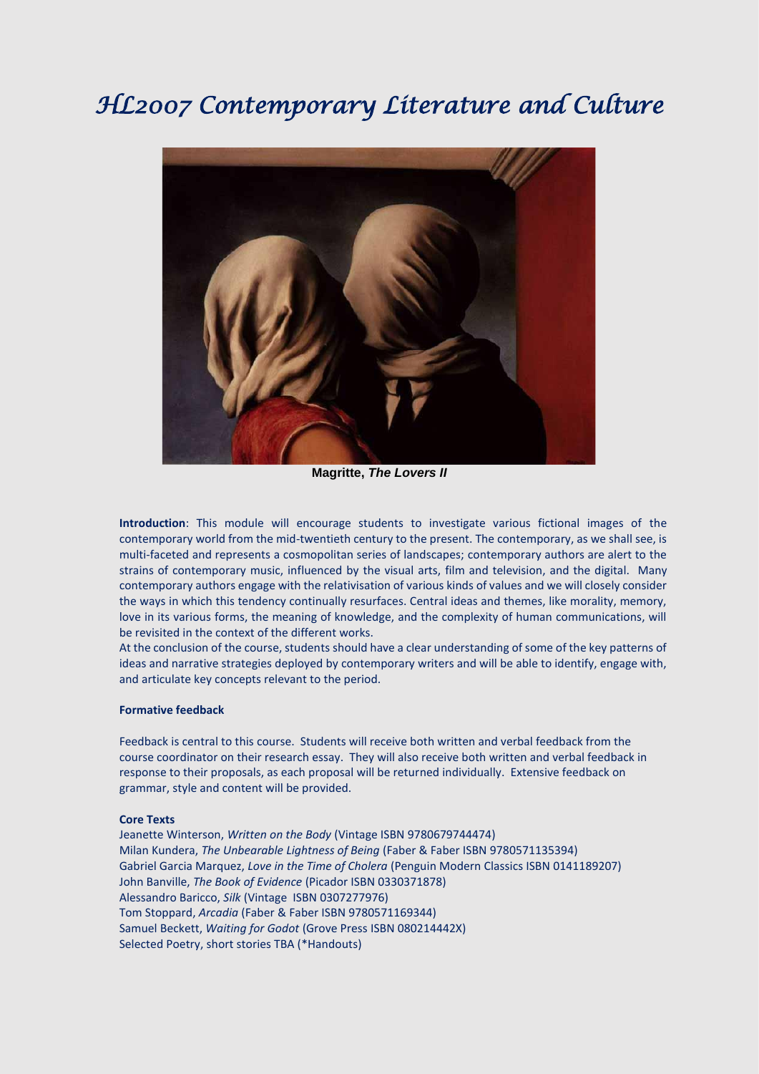# *HL2007 Contemporary Literature and Culture*



**Magritte,** *The Lovers II*

**Introduction**: This module will encourage students to investigate various fictional images of the contemporary world from the mid-twentieth century to the present. The contemporary, as we shall see, is multi-faceted and represents a cosmopolitan series of landscapes; contemporary authors are alert to the strains of contemporary music, influenced by the visual arts, film and television, and the digital. Many contemporary authors engage with the relativisation of various kinds of values and we will closely consider the ways in which this tendency continually resurfaces. Central ideas and themes, like morality, memory, love in its various forms, the meaning of knowledge, and the complexity of human communications, will be revisited in the context of the different works.

At the conclusion of the course, students should have a clear understanding of some of the key patterns of ideas and narrative strategies deployed by contemporary writers and will be able to identify, engage with, and articulate key concepts relevant to the period.

#### **Formative feedback**

Feedback is central to this course. Students will receive both written and verbal feedback from the course coordinator on their research essay. They will also receive both written and verbal feedback in response to their proposals, as each proposal will be returned individually. Extensive feedback on grammar, style and content will be provided.

#### **Core Texts**

Jeanette Winterson, *Written on the Body* (Vintage ISBN 9780679744474) Milan Kundera, *The Unbearable Lightness of Being* (Faber & Faber ISBN 9780571135394) Gabriel Garcia Marquez, *Love in the Time of Cholera* (Penguin Modern Classics ISBN 0141189207) John Banville, *The Book of Evidence* (Picador ISBN 0330371878) Alessandro Baricco, *Silk* (Vintage ISBN 0307277976) Tom Stoppard, *Arcadia* (Faber & Faber ISBN 9780571169344) Samuel Beckett, *Waiting for Godot* (Grove Press ISBN 080214442X) Selected Poetry, short stories TBA (\*Handouts)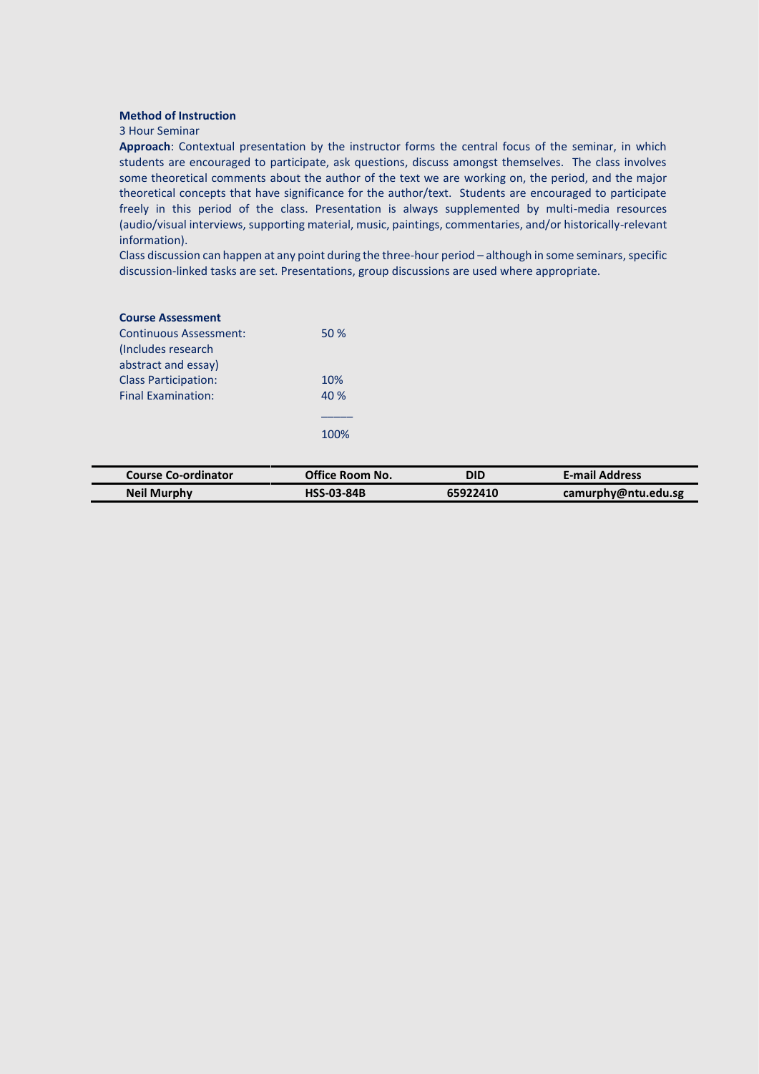#### **Method of Instruction**

#### 3 Hour Seminar

**Approach**: Contextual presentation by the instructor forms the central focus of the seminar, in which students are encouraged to participate, ask questions, discuss amongst themselves. The class involves some theoretical comments about the author of the text we are working on, the period, and the major theoretical concepts that have significance for the author/text. Students are encouraged to participate freely in this period of the class. Presentation is always supplemented by multi-media resources (audio/visual interviews, supporting material, music, paintings, commentaries, and/or historically-relevant information).

Class discussion can happen at any point during the three-hour period - although in some seminars, specific discussion-linked tasks are set. Presentations, group discussions are used where appropriate.

## **Course Assessment**

| <b>Continuous Assessment:</b> | 50%  |
|-------------------------------|------|
| (Includes research            |      |
| abstract and essay)           |      |
| <b>Class Participation:</b>   | 10%  |
| <b>Final Examination:</b>     | 40 % |
|                               |      |
|                               | 100% |

| <b>Course Co-ordinator</b> | <b>Office Room No.</b> | DID      | <b>E-mail Address</b> |
|----------------------------|------------------------|----------|-----------------------|
| <b>Neil Murphy</b>         | <b>HSS-03-84B</b>      | 65922410 | camurphy@ntu.edu.sg   |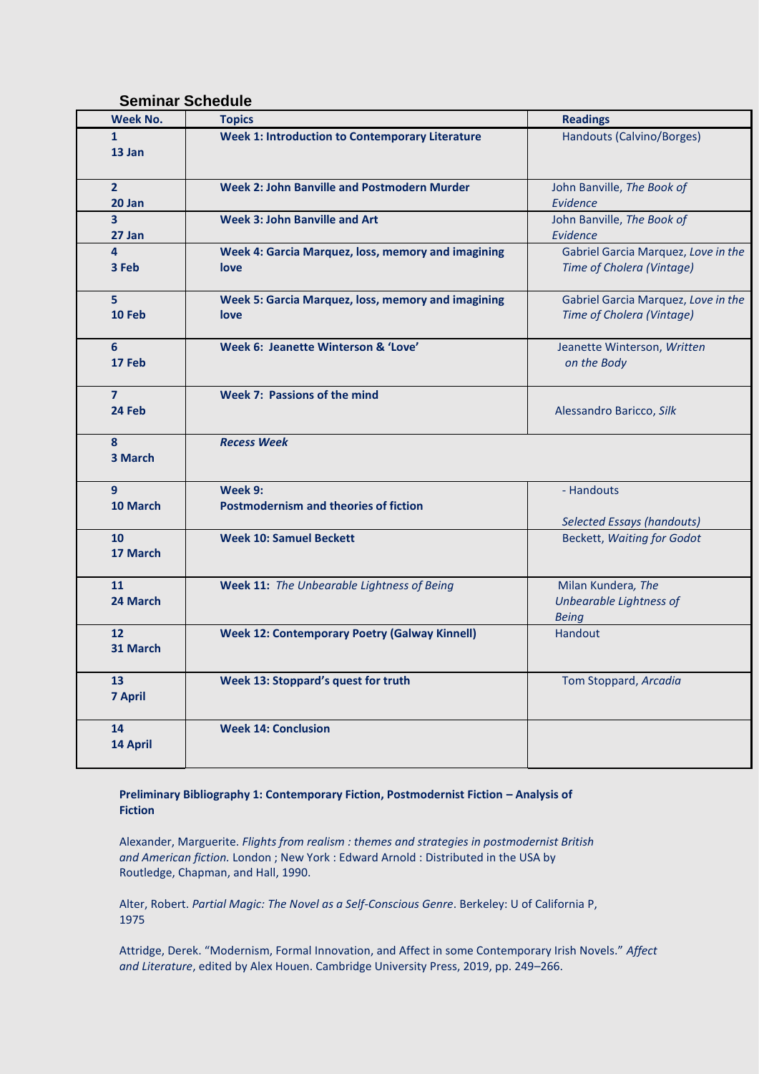# **Seminar Schedule**

| <b>Week No.</b>                   | <b>Topics</b>                                              | <b>Readings</b>                                                  |
|-----------------------------------|------------------------------------------------------------|------------------------------------------------------------------|
| $\mathbf{1}$<br>13 Jan            | <b>Week 1: Introduction to Contemporary Literature</b>     | Handouts (Calvino/Borges)                                        |
| 2 <sup>1</sup><br>20 Jan          | <b>Week 2: John Banville and Postmodern Murder</b>         | John Banville, The Book of<br>Evidence                           |
| 3<br>27 Jan                       | <b>Week 3: John Banville and Art</b>                       | John Banville, The Book of<br>Evidence                           |
| $\overline{4}$<br>3 Feb           | Week 4: Garcia Marquez, loss, memory and imagining<br>love | Gabriel Garcia Marquez, Love in the<br>Time of Cholera (Vintage) |
| 5.<br>10 Feb                      | Week 5: Garcia Marquez, loss, memory and imagining<br>love | Gabriel Garcia Marquez, Love in the<br>Time of Cholera (Vintage) |
| 6<br>17 Feb                       | Week 6: Jeanette Winterson & 'Love'                        | Jeanette Winterson, Written<br>on the Body                       |
| $\overline{7}$<br>24 Feb          | Week 7: Passions of the mind                               | Alessandro Baricco, Silk                                         |
| 8<br>3 March                      | <b>Recess Week</b>                                         |                                                                  |
| 9<br>10 March                     | Week 9:<br><b>Postmodernism and theories of fiction</b>    | - Handouts<br><b>Selected Essays (handouts)</b>                  |
| 10<br>17 March                    | <b>Week 10: Samuel Beckett</b>                             | <b>Beckett, Waiting for Godot</b>                                |
| 11<br>24 March                    | Week 11: The Unbearable Lightness of Being                 | Milan Kundera, The<br>Unbearable Lightness of<br><b>Being</b>    |
| 12<br>31 March                    | <b>Week 12: Contemporary Poetry (Galway Kinnell)</b>       | <b>Handout</b>                                                   |
| 13 <sup>2</sup><br><b>7 April</b> | Week 13: Stoppard's quest for truth                        | Tom Stoppard, Arcadia                                            |
| 14<br>14 April                    | <b>Week 14: Conclusion</b>                                 |                                                                  |

## **Preliminary Bibliography 1: Contemporary Fiction, Postmodernist Fiction – Analysis of Fiction**

Alexander, Marguerite. *[Flights from realism : themes and strategies in postmodernist British](http://library.nie.edu.sg/MARION/AAO-4778)  and American fiction.* [London ; New York : Edward Arnold : Distributed in the USA by](http://library.nie.edu.sg/MARION/AAO-4778)  [Routledge, Chapman, and Hall, 1990.](http://library.nie.edu.sg/MARION/AAO-4778)

Alter, Robert. *Partial Magic: The Novel as a Self-Conscious Genre*. Berkeley: U of California P, 1975

Attridge, Derek. "Modernism, Formal Innovation, and Affect in some Contemporary Irish Novels." *Affect and Literature*, edited by Alex Houen. Cambridge University Press, 2019, pp. 249–266.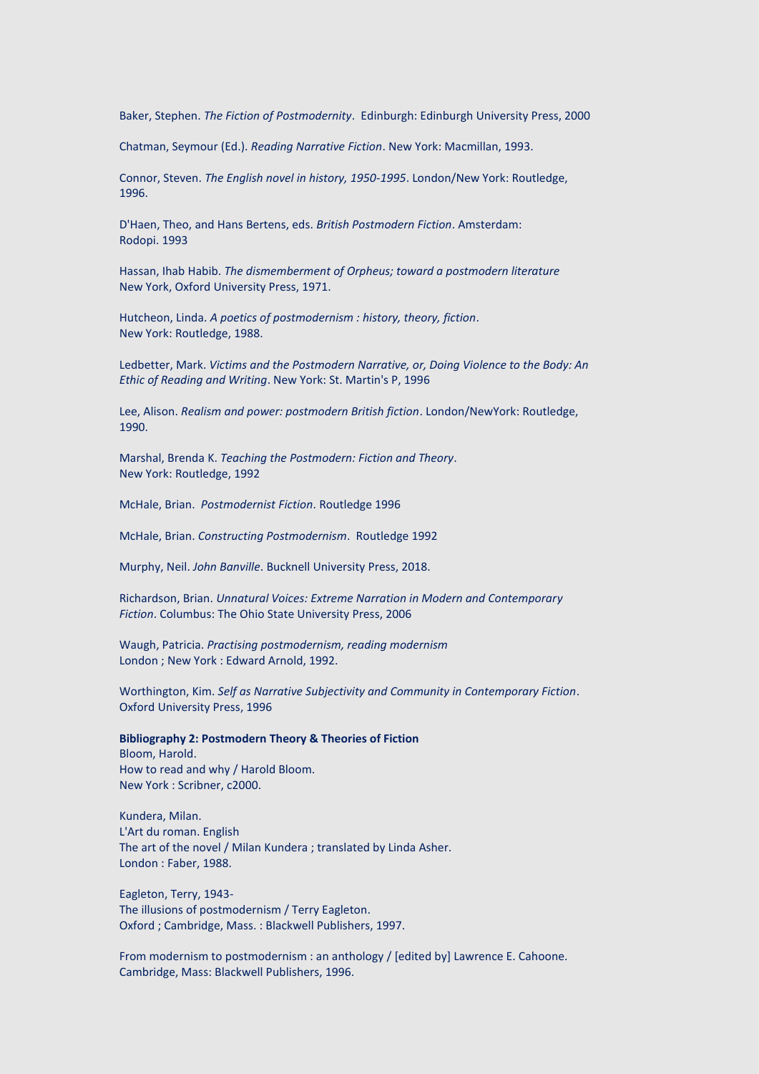Baker, Stephen. *The Fiction of Postmodernity*. Edinburgh: Edinburgh University Press, 2000

Chatman, Seymour (Ed.). *Reading Narrative Fiction*. New York: Macmillan, 1993.

Connor, Steven. *[The English novel in history, 1950-1995](http://library.nie.edu.sg/MARION/AAX-2700)*. London/New York: Routledge, [1996.](http://library.nie.edu.sg/MARION/AAX-2700)

D'Haen, Theo, and Hans Bertens, eds. *British Postmodern Fiction*. Amsterdam: Rodopi. 1993

Hassan, Ihab Habib. *[The dismemberment of Orpheus; toward a postmodern literature](http://library.nie.edu.sg/MARION/AAV-8017)*  [New York, Oxford University Press, 1971.](http://library.nie.edu.sg/MARION/AAV-8017)

Hutcheon, Linda. *[A poetics of postmodernism : history, theory, fiction](http://libris.nie.edu.sg:8000/MARION/AAX-2701)*. [New York: Routledge, 1988.](http://libris.nie.edu.sg:8000/MARION/AAX-2701)

Ledbetter, Mark. *Victims and the Postmodern Narrative, or, Doing Violence to the Body: An Ethic of Reading and Writing*. New York: St. Martin's P, 1996

Lee, Alison. *[Realism and power: postmodern British fiction](http://library.nie.edu.sg/MARION/AAQ-2360)*. London/NewYork: Routledge, [1990.](http://library.nie.edu.sg/MARION/AAQ-2360)

Marshal, Brenda K. *Teaching the Postmodern: Fiction and Theory*. New York: Routledge, 1992

McHale, Brian. *Postmodernist Fiction*. Routledge 1996

McHale, Brian. *Constructing Postmodernism*. Routledge 1992

Murphy, Neil. *John Banville*. Bucknell University Press, 2018.

Richardson, Brian. *Unnatural Voices: Extreme Narration in Modern and Contemporary Fiction*. Columbus: The Ohio State University Press, 2006

Waugh, Patricia. *[Practising postmodernism, reading modernism](http://library.nie.edu.sg/MARION/AAS-3953)* [London ; New York : Edward Arnold, 1992.](http://library.nie.edu.sg/MARION/AAS-3953)

Worthington, Kim. *Self as Narrative Subjectivity and Community in Contemporary Fiction*. Oxford University Press, 1996

**Bibliography 2: Postmodern Theory & Theories of Fiction**

[Bloom, Harold.](http://library.nie.edu.sg/MARION/ABC-3841) [How to read and why / Harold Bloom.](http://library.nie.edu.sg/MARION/ABC-3841) [New York : Scribner, c2000.](http://library.nie.edu.sg/MARION/ABC-3841)

[Kundera, Milan.](http://library.nie.edu.sg/MARION/AAO-5847) [L'Art du roman. English](http://library.nie.edu.sg/MARION/AAO-5847) The art of the novel [/ Milan Kundera ; translated by Linda Asher.](http://library.nie.edu.sg/MARION/AAO-5847) [London : Faber, 1988.](http://library.nie.edu.sg/MARION/AAO-5847)

[Eagleton, Terry, 1943-](http://library.nie.edu.sg/MARION/AAW-6527) [The illusions of postmodernism / Terry Eagleton.](http://library.nie.edu.sg/MARION/AAW-6527) [Oxford ; Cambridge, Mass. : Blackwell Publishers, 1997.](http://library.nie.edu.sg/MARION/AAW-6527)

[From modernism to postmodernism : an anthology / \[edited by\] Lawrence E. Cahoone.](http://library.nie.edu.sg/MARION/AAW-1278) [Cambridge, Mass: Blackwell Publishers, 1996.](http://library.nie.edu.sg/MARION/AAW-1278)